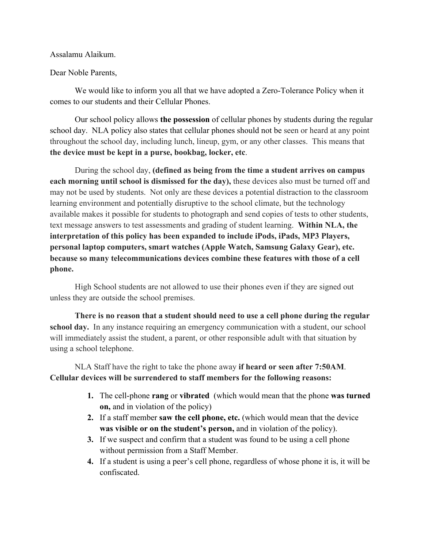## Assalamu Alaikum.

## Dear Noble Parents,

We would like to inform you all that we have adopted a Zero-Tolerance Policy when it comes to our students and their Cellular Phones.

Our school policy allows **the possession** of cellular phones by students during the regular school day. NLA policy also states that cellular phones should not be seen or heard at any point throughout the school day, including lunch, lineup, gym, or any other classes. This means that **the device must be kept in a purse, bookbag, locker, etc**.

During the school day, **(defined as being from the time a student arrives on campus each morning until school is dismissed for the day),** these devices also must be turned off and may not be used by students. Not only are these devices a potential distraction to the classroom learning environment and potentially disruptive to the school climate, but the technology available makes it possible for students to photograph and send copies of tests to other students, text message answers to test assessments and grading of student learning. **Within NLA, the interpretation of this policy has been expanded to include iPods, iPads, MP3 Players, personal laptop computers, smart watches (Apple Watch, Samsung Galaxy Gear), etc. because so many telecommunications devices combine these features with those of a cell phone.** 

High School students are not allowed to use their phones even if they are signed out unless they are outside the school premises.

**There is no reason that a student should need to use a cell phone during the regular school day.** In any instance requiring an emergency communication with a student, our school will immediately assist the student, a parent, or other responsible adult with that situation by using a school telephone.

NLA Staff have the right to take the phone away **if heard or seen after 7:50AM**. **Cellular devices will be surrendered to staff members for the following reasons:**

- **1.** The cell-phone **rang** or **vibrated** (which would mean that the phone **was turned on,** and in violation of the policy)
- **2.** If a staff member **saw the cell phone, etc.** (which would mean that the device **was visible or on the student's person,** and in violation of the policy).
- **3.** If we suspect and confirm that a student was found to be using a cell phone without permission from a Staff Member.
- **4.** If a student is using a peer's cell phone, regardless of whose phone it is, it will be confiscated.